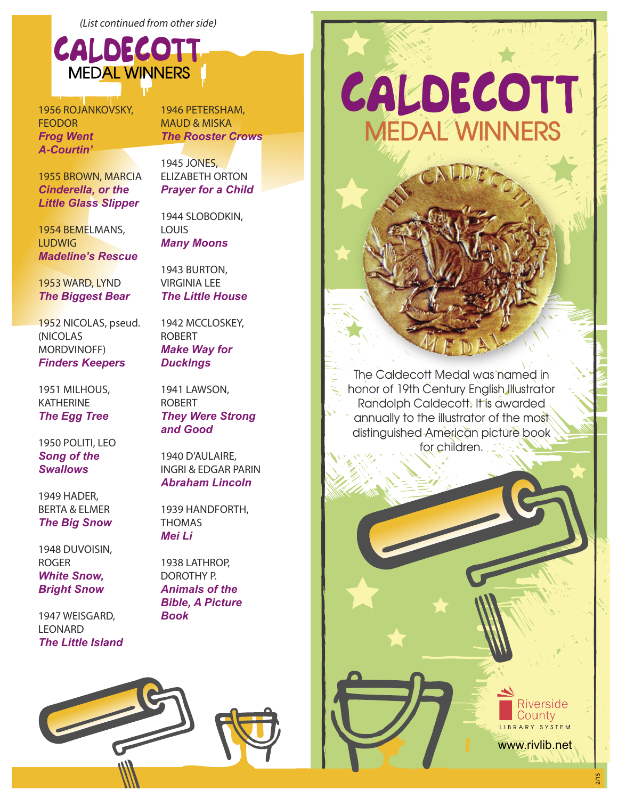*(List continued from other side)*



1956 ROJANKOVSKY, FEODOR *Frog Went A-Courtin'*

1946 PETERSHAM, MAUD & MISKA *The Rooster Crows*

1955 BROWN, MARCIA *Cinderella, or the Little Glass Slipper*

1954 BEMELMANS, LUDWIG *Madeline's Rescue*

1953 WARD, LYND *The Biggest Bear*

1952 NICOLAS, pseud. (NICOLAS MORDVINOFF) *Finders Keepers*

1951 MILHOUS, KATHERINE *The Egg Tree*

1950 POLITI, LEO *Song of the Swallows*

1949 HADER, BERTA & ELMER *The Big Snow*

1948 DUVOISIN, ROGER *White Snow, Bright Snow*

1947 WEISGARD, LEONARD *The Little Island* 1945 JONES, ELIZABETH ORTON

*Prayer for a Child*

1944 SLOBODKIN, LOUIS *Many Moons*

1943 BURTON, VIRGINIA LEE *The Little House*

1942 MCCLOSKEY, ROBERT *Make Way for Ducklngs*

1941 LAWSON, ROBERT *They Were Strong and Good*

1940 D'AULAIRE, INGRI & EDGAR PARIN *Abraham Lincoln*

1939 HANDFORTH, THOMAS *Mei Li*

1938 LATHROP, DOROTHY P. *Animals of the Bible, A Picture Book*



The Caldecott Medal was named in honor of 19th Century English Illustrator Randolph Caldecott. It is awarded annually to the illustrator of the most distinguished American picture book for children.

2/15

www.rivlib.net

Riverside County